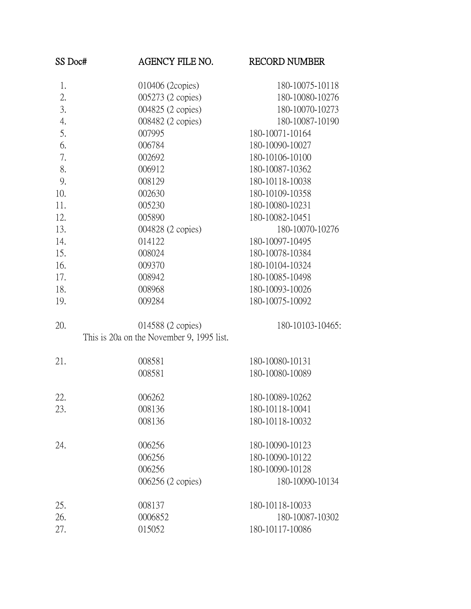| SS Doc# | AGENCY FILE NO.                           | <b>RECORD NUMBER</b> |
|---------|-------------------------------------------|----------------------|
| 1.      | 010406 (2copies)                          | 180-10075-10118      |
| 2.      | 005273 (2 copies)                         | 180-10080-10276      |
| 3.      | 004825 (2 copies)                         | 180-10070-10273      |
| 4.      | 008482 (2 copies)                         | 180-10087-10190      |
| 5.      | 007995                                    | 180-10071-10164      |
| 6.      | 006784                                    | 180-10090-10027      |
| 7.      | 002692                                    | 180-10106-10100      |
| 8.      | 006912                                    | 180-10087-10362      |
| 9.      | 008129                                    | 180-10118-10038      |
| 10.     | 002630                                    | 180-10109-10358      |
| 11.     | 005230                                    | 180-10080-10231      |
| 12.     | 005890                                    | 180-10082-10451      |
| 13.     | 004828 (2 copies)                         | 180-10070-10276      |
| 14.     | 014122                                    | 180-10097-10495      |
| 15.     | 008024                                    | 180-10078-10384      |
| 16.     | 009370                                    | 180-10104-10324      |
| 17.     | 008942                                    | 180-10085-10498      |
| 18.     | 008968                                    | 180-10093-10026      |
| 19.     | 009284                                    | 180-10075-10092      |
| 20.     | 014588 (2 copies)                         | 180-10103-10465:     |
|         | This is 20a on the November 9, 1995 list. |                      |
| 21.     | 008581                                    | 180-10080-10131      |
|         | 008581                                    | 180-10080-10089      |
| 22.     | 006262                                    | 180-10089-10262      |
| 23.     | 008136                                    | 180-10118-10041      |
|         | 008136                                    | 180-10118-10032      |
| 24.     | 006256                                    | 180-10090-10123      |
|         | 006256                                    | 180-10090-10122      |
|         | 006256                                    | 180-10090-10128      |
|         | 006256 (2 copies)                         | 180-10090-10134      |
| 25.     | 008137                                    | 180-10118-10033      |
| 26.     | 0006852                                   | 180-10087-10302      |
| 27.     | 015052                                    | 180-10117-10086      |